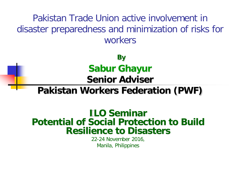Pakistan Trade Union active involvement in disaster preparedness and minimization of risks for workers

> **By Sabur Ghayur Senior Adviser**

## **Pakistan Workers Federation (PWF)**

## **ILO Seminar Potential of Social Protection to Build Resilience to Disasters**

22-24 November 2016, Manila, Philippines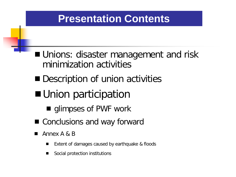- **Unions: disaster management and risk** minimization activities
- Description of union activities
- Union participation
	- **qlimpses of PWF work**
- Conclusions and way forward
- Annex A & B
	- Extent of damages caused by earthquake & floods
	- Social protection institutions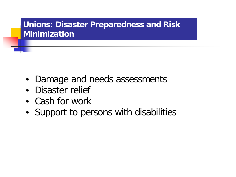## **Unions: Disaster Preparedness and Risk Minimization**

- Damage and needs assessments
- Disaster relief
- Cash for work
- Support to persons with disabilities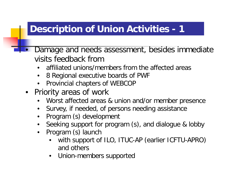## **Description of Union Activities - 1**

- Damage and needs assessment, besides immediate visits feedback from
	- affiliated unions/members from the affected areas
	- 8 Regional executive boards of PWF
	- Provincial chapters of WEBCOP
- Priority areas of work
	- Worst affected areas & union and/or member presence
	- Survey, if needed, of persons needing assistance
	- Program (s) development
	- Seeking support for program (s), and dialogue & lobby
	- Program (s) launch
		- with support of ILO, ITUC-AP (earlier ICFTU-APRO) and others
		- Union-members supported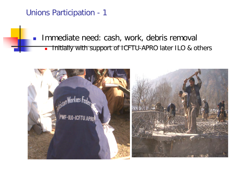Unions Participation - 1

**Immediate need: cash, work, debris removally Initially with support of ICFTU-APRO later ILO & others** 

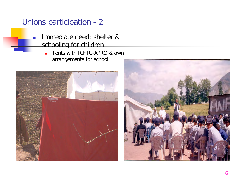## Unions participation - 2

- **Immediate need: shelter &** schooling for children
	- Tents with ICFTU-APRO & own arrangements for school



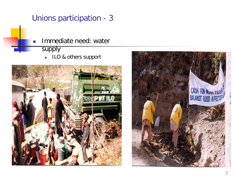## Unions participation - 3

- 
- Immediate need: water
- supply
	- **ILO & others support**



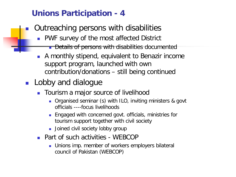## **Unions Participation - 4**

- Outreaching persons with disabilities
	- **PWF survey of the most affected District** 
		- **Details of persons with disabilities documented**
	- A monthly stipend, equivalent to Benazir income support program, launched with own contribution/donations – still being continued
- **Lobby and dialogue** 
	- **The Tourism a major source of livelihood** 
		- Organised seminar (s) with ILO, inviting ministers & govt officials ----focus livelihoods
		- **Engaged with concerned govt. officials, ministries for** tourism support together with civil society
		- **Joined civil society lobby group**
	- **Part of such activities WEBCOP** 
		- **Unions imp. member of workers employers bilateral** council of Pakistan (WEBCOP)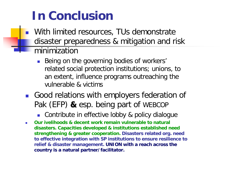# **In Conclusion**

- **Nith limited resources, TUs demonstrate** disaster preparedness & mitigation and risk minimization
	- **Being on the governing bodies of workers'** related social protection institutions; unions, to an extent, influence programs outreaching the vulnerable & victims
- Good relations with employers federation of Pak (EFP) **&** esp. being part of WEBCOP
	- Contribute in effective lobby & policy dialogue
- **Our ivelihoods & decent work remain vulnerable to natural disasters. Capacities developed & institutions established need strengthening & greater cooperation. Disasters related org. need to effective integration with SP institutions to ensure resilience to relief & disaster management. UNION with a reach across the country is a natural partner/facilitator.**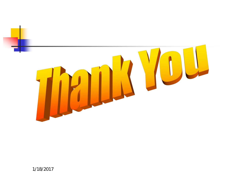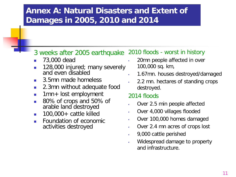## **Annex A: Natural Disasters and Extent of Damages in 2005, 2010 and 2014**

### 3 weeks after 2005 earthquake 2010 floods - worst in history

- 73,000 dead
- 128,000 injured; many severely and even disabled
- 3.5mn made homeless
- 2.3mn without adequate food
- **1mn+ lost employment**
- 80% of crops and 50% of arable land destroyed
- $\blacksquare$  100,000 + cattle killed
- Foundation of economic activities destroyed
- 20mn people affected in over 100,000 sq. km,
- 1.67mn. houses destroyed/damaged
- 2.2 mn. hectares of standing crops destroyed.

#### 2014 floods

- Over 2.5 min people affected
- Over 4,000 villages flooded
- Over 100,000 homes damaged
- Over 2.4 mn acres of crops lost
- 9,000 cattle perished
- Widespread damage to property and infrastructure.